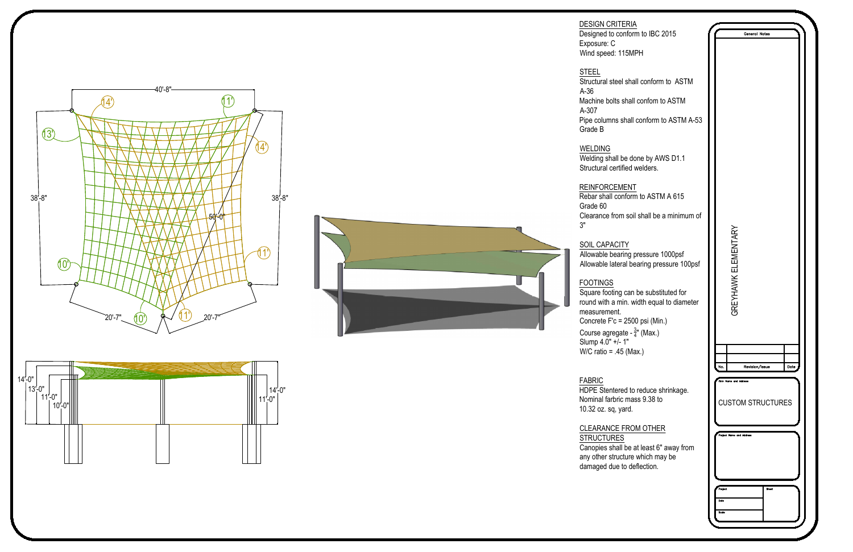## DESIGN CRITERIA

Designed to conform Exposure: C Wind speed: 115MF







Structural steel shall A-36 Machine bolts shall A-307 Pipe columns shall Grade B

### STEEL

## WELDING

 $W$ elding shall be do Structural certified

| <u>\</u><br>m to IBC 2015   | General Notes                                          |  |
|-----------------------------|--------------------------------------------------------|--|
| PH                          |                                                        |  |
|                             |                                                        |  |
| all conform to ASTM         |                                                        |  |
| confom to ASTM              |                                                        |  |
| conform to ASTM A-53        |                                                        |  |
|                             |                                                        |  |
| one by AWS D1.1<br>welders. |                                                        |  |
| -<br>n to ASTM A 615        |                                                        |  |
| I shall be a minimum of     |                                                        |  |
|                             |                                                        |  |
| pressure 1000psf            |                                                        |  |
| earing pressure 100psf      |                                                        |  |
| be substituted for          | GREYHAWK ELEMENTARY                                    |  |
| vidth equal to diameter     |                                                        |  |
| 0 psi (Min.)                |                                                        |  |
| <sup>3</sup> ″ (Max.)       |                                                        |  |
| эх.)                        |                                                        |  |
|                             | Date<br>No.<br>Revision/Issue<br>Firm Name and Address |  |
| reduce shrinkage.           |                                                        |  |
| ss 9.38 to                  | <b>CUSTOM STRUCTURES</b>                               |  |
| M OTHER                     |                                                        |  |
| at least 6" away from       | Project Name and Address                               |  |
| which may be<br>eflection.  |                                                        |  |
|                             |                                                        |  |
|                             | Project<br><b>Sheet</b><br>Date                        |  |
|                             | Scale                                                  |  |
|                             |                                                        |  |

#### REINFORCEMENT  $Rebar shall conform$ Grade 60 Clearance from soil 3"

SOIL CAPACITY Allowable bearing p Allowable lateral be

## FOOTINGS

Square footing can round with a min. wi measurement. Concrete  $F$ 'c = 2500 Course agregate -Slump 4.0" +/- 1" W/C ratio =  $.45$  (Ma

#### FABRIC HDPE Stentered to Nominal farbric mas 10.32 oz. sq, yard.

## **CLEARANCE FROM STRUCTURES**

Canopies shall be a any other structure damaged due to det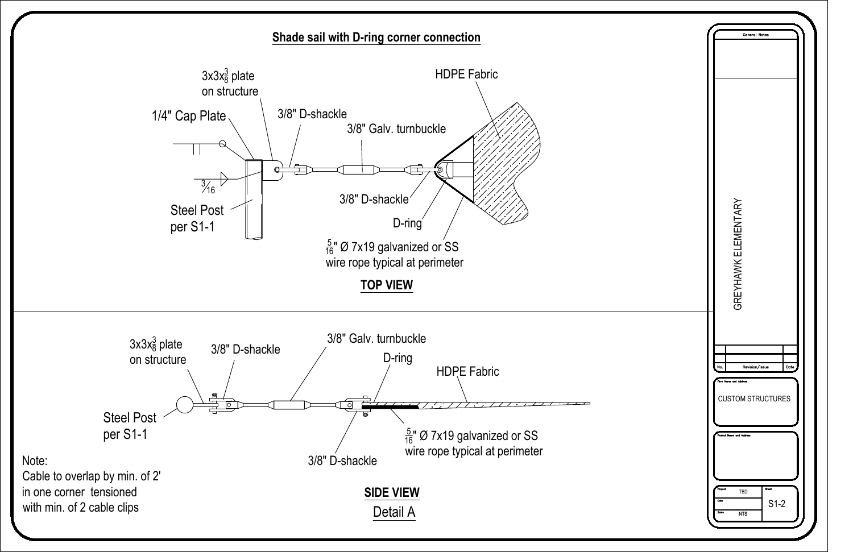

| General Notes                                                                                                                                                                      |  |
|------------------------------------------------------------------------------------------------------------------------------------------------------------------------------------|--|
| GREYHAWK ELEMENTARY                                                                                                                                                                |  |
| Revision/Issue<br>Date<br>No.<br>Firm Name and Address<br><b>CUSTOM STRUCTURES</b><br>Project Name and Address<br>Sheet<br>Project<br>TBD<br>$S1-2$<br>Date<br>Scale<br><b>NTS</b> |  |

# **Shade sail with D-ring corner connection**